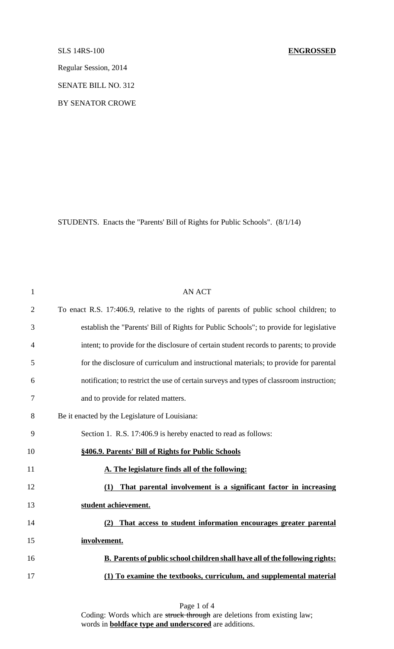Regular Session, 2014

SENATE BILL NO. 312

BY SENATOR CROWE

STUDENTS. Enacts the "Parents' Bill of Rights for Public Schools". (8/1/14)

| $\mathbf{1}$   | <b>AN ACT</b>                                                                            |
|----------------|------------------------------------------------------------------------------------------|
| $\overline{2}$ | To enact R.S. 17:406.9, relative to the rights of parents of public school children; to  |
| 3              | establish the "Parents' Bill of Rights for Public Schools"; to provide for legislative   |
| 4              | intent; to provide for the disclosure of certain student records to parents; to provide  |
| 5              | for the disclosure of curriculum and instructional materials; to provide for parental    |
| 6              | notification; to restrict the use of certain surveys and types of classroom instruction; |
| 7              | and to provide for related matters.                                                      |
| 8              | Be it enacted by the Legislature of Louisiana:                                           |
| 9              | Section 1. R.S. 17:406.9 is hereby enacted to read as follows:                           |
| 10             | §406.9. Parents' Bill of Rights for Public Schools                                       |
| 11             | A. The legislature finds all of the following:                                           |
| 12             | That parental involvement is a significant factor in increasing<br>(1)                   |
| 13             | student achievement.                                                                     |
| 14             | That access to student information encourages greater parental<br>(2)                    |
| 15             | involvement.                                                                             |
| 16             | <b>B. Parents of public school children shall have all of the following rights:</b>      |
| 17             | (1) To examine the textbooks, curriculum, and supplemental material                      |

Page 1 of 4 Coding: Words which are struck through are deletions from existing law; words in **boldface type and underscored** are additions.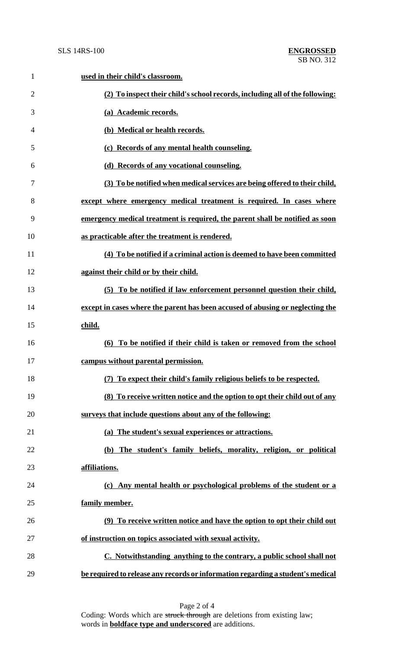| $\mathbf{1}$   | used in their child's classroom.                                                |
|----------------|---------------------------------------------------------------------------------|
| $\overline{2}$ | (2) To inspect their child's school records, including all of the following:    |
| 3              | (a) Academic records.                                                           |
| 4              | (b) Medical or health records.                                                  |
| 5              | (c) Records of any mental health counseling.                                    |
| 6              | (d) Records of any vocational counseling.                                       |
| 7              | (3) To be notified when medical services are being offered to their child,      |
| 8              | except where emergency medical treatment is required. In cases where            |
| 9              | emergency medical treatment is required, the parent shall be notified as soon   |
| 10             | as practicable after the treatment is rendered.                                 |
| 11             | (4) To be notified if a criminal action is deemed to have been committed        |
| 12             | against their child or by their child.                                          |
| 13             | (5) To be notified if law enforcement personnel question their child,           |
| 14             | except in cases where the parent has been accused of abusing or neglecting the  |
| 15             | child.                                                                          |
| 16             | (6) To be notified if their child is taken or removed from the school           |
| 17             | campus without parental permission.                                             |
| 18             | (7) To expect their child's family religious beliefs to be respected.           |
| 19             | (8) To receive written notice and the option to opt their child out of any      |
| 20             | surveys that include questions about any of the following:                      |
| 21             | (a) The student's sexual experiences or attractions.                            |
| 22             | The student's family beliefs, morality, religion, or political<br><b>(b)</b>    |
| 23             | affiliations.                                                                   |
| 24             | (c) Any mental health or psychological problems of the student or a             |
| 25             | family member.                                                                  |
| 26             | (9) To receive written notice and have the option to opt their child out        |
| 27             | of instruction on topics associated with sexual activity.                       |
| 28             | C. Notwithstanding anything to the contrary, a public school shall not          |
| 29             | be required to release any records or information regarding a student's medical |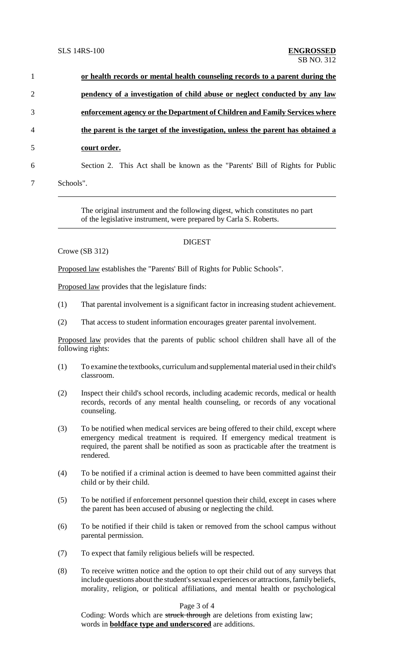| $\mathbf{1}$   | or health records or mental health counseling records to a parent during the    |
|----------------|---------------------------------------------------------------------------------|
| $\overline{2}$ | pendency of a investigation of child abuse or neglect conducted by any law      |
| 3              | enforcement agency or the Department of Children and Family Services where      |
| $\overline{4}$ | the parent is the target of the investigation, unless the parent has obtained a |
| 5              | court order.                                                                    |
| 6              | Section 2. This Act shall be known as the "Parents' Bill of Rights for Public   |
|                | Schools".                                                                       |

The original instrument and the following digest, which constitutes no part of the legislative instrument, were prepared by Carla S. Roberts.

## DIGEST

```
Crowe (SB 312)
```
Proposed law establishes the "Parents' Bill of Rights for Public Schools".

Proposed law provides that the legislature finds:

- (1) That parental involvement is a significant factor in increasing student achievement.
- (2) That access to student information encourages greater parental involvement.

Proposed law provides that the parents of public school children shall have all of the following rights:

- (1) To examine the textbooks, curriculumand supplementalmaterial used in their child's classroom.
- (2) Inspect their child's school records, including academic records, medical or health records, records of any mental health counseling, or records of any vocational counseling.
- (3) To be notified when medical services are being offered to their child, except where emergency medical treatment is required. If emergency medical treatment is required, the parent shall be notified as soon as practicable after the treatment is rendered.
- (4) To be notified if a criminal action is deemed to have been committed against their child or by their child.
- (5) To be notified if enforcement personnel question their child, except in cases where the parent has been accused of abusing or neglecting the child.
- (6) To be notified if their child is taken or removed from the school campus without parental permission.
- (7) To expect that family religious beliefs will be respected.
- (8) To receive written notice and the option to opt their child out of any surveys that include questions about the student's sexual experiences or attractions, family beliefs, morality, religion, or political affiliations, and mental health or psychological

## Page 3 of 4

Coding: Words which are struck through are deletions from existing law; words in **boldface type and underscored** are additions.